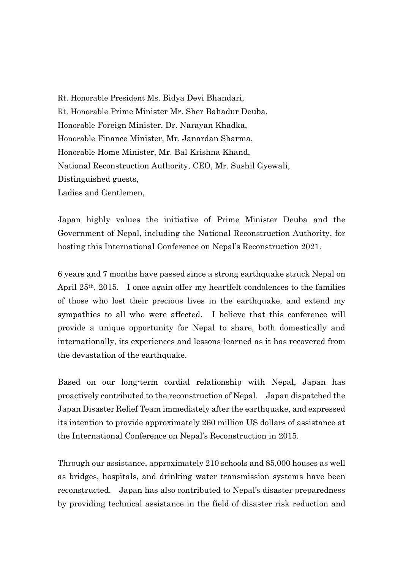Rt. Honorable President Ms. Bidya Devi Bhandari, Rt. Honorable Prime Minister Mr. Sher Bahadur Deuba, Honorable Foreign Minister, Dr. Narayan Khadka, Honorable Finance Minister, Mr. Janardan Sharma, Honorable Home Minister, Mr. Bal Krishna Khand, National Reconstruction Authority, CEO, Mr. Sushil Gyewali, Distinguished guests, Ladies and Gentlemen,

Japan highly values the initiative of Prime Minister Deuba and the Government of Nepal, including the National Reconstruction Authority, for hosting this International Conference on Nepal's Reconstruction 2021.

6 years and 7 months have passed since a strong earthquake struck Nepal on April 25th, 2015. I once again offer my heartfelt condolences to the families of those who lost their precious lives in the earthquake, and extend my sympathies to all who were affected. I believe that this conference will provide a unique opportunity for Nepal to share, both domestically and internationally, its experiences and lessons-learned as it has recovered from the devastation of the earthquake.

Based on our long-term cordial relationship with Nepal, Japan has proactively contributed to the reconstruction of Nepal. Japan dispatched the Japan Disaster Relief Team immediately after the earthquake, and expressed its intention to provide approximately 260 million US dollars of assistance at the International Conference on Nepal's Reconstruction in 2015.

Through our assistance, approximately 210 schools and 85,000 houses as well as bridges, hospitals, and drinking water transmission systems have been reconstructed. Japan has also contributed to Nepal's disaster preparedness by providing technical assistance in the field of disaster risk reduction and